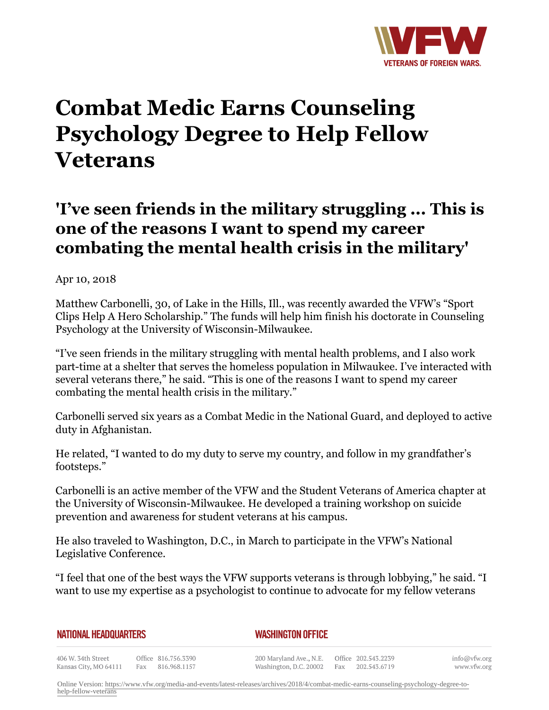

## **Combat Medic Earns Counseling Psychology Degree to Help Fellow Veterans**

## **'I've seen friends in the military struggling ... This is one of the reasons I want to spend my career combating the mental health crisis in the military'**

Apr 10, 2018

Matthew Carbonelli, 30, of Lake in the Hills, Ill., was recently awarded the VFW's "Sport Clips Help A Hero Scholarship." The funds will help him finish his doctorate in Counseling Psychology at the University of Wisconsin-Milwaukee.

"I've seen friends in the military struggling with mental health problems, and I also work part-time at a shelter that serves the homeless population in Milwaukee. I've interacted with several veterans there," he said. "This is one of the reasons I want to spend my career combating the mental health crisis in the military."

Carbonelli served six years as a Combat Medic in the National Guard, and deployed to active duty in Afghanistan.

He related, "I wanted to do my duty to serve my country, and follow in my grandfather's footsteps."

Carbonelli is an active member of the VFW and the Student Veterans of America chapter at the University of Wisconsin-Milwaukee. He developed a training workshop on suicide prevention and awareness for student veterans at his campus.

He also traveled to Washington, D.C., in March to participate in the VFW's National Legislative Conference.

"I feel that one of the best ways the VFW supports veterans is through lobbying," he said. "I want to use my expertise as a psychologist to continue to advocate for my fellow veterans

|  | NATIONAL HEADQUARTERS |
|--|-----------------------|
|  |                       |

*WASHINGTON OFFICE* 

406 W. 34th Street Office 816.756.3390 Fax 816.968.1157 Kansas City, MO 64111

200 Maryland Ave., N.E. Washington, D.C. 20002

Office 202.543.2239 Fax 202.543.6719 info@vfw.org www.vfw.org

Online Version: [https://www.vfw.org/media-and-events/latest-releases/archives/2018/4/combat-medic-earns-counseling-psychology-degree-to](https://www.vfw.org/media-and-events/latest-releases/archives/2018/4/combat-medic-earns-counseling-psychology-degree-to-help-fellow-veterans)[help-fellow-veterans](https://www.vfw.org/media-and-events/latest-releases/archives/2018/4/combat-medic-earns-counseling-psychology-degree-to-help-fellow-veterans)